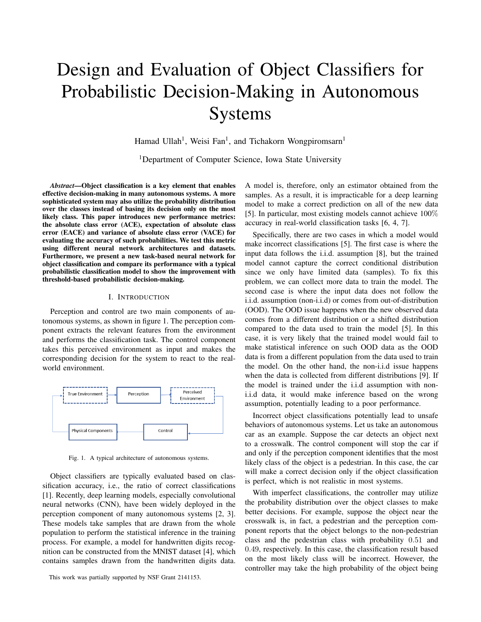# Design and Evaluation of Object Classifiers for Probabilistic Decision-Making in Autonomous Systems

Hamad Ullah<sup>1</sup>, Weisi Fan<sup>1</sup>, and Tichakorn Wongpiromsarn<sup>1</sup>

<sup>1</sup>Department of Computer Science, Iowa State University

*Abstract*—Object classification is a key element that enables effective decision-making in many autonomous systems. A more sophisticated system may also utilize the probability distribution over the classes instead of basing its decision only on the most likely class. This paper introduces new performance metrics: the absolute class error (ACE), expectation of absolute class error (EACE) and variance of absolute class error (VACE) for evaluating the accuracy of such probabilities. We test this metric using different neural network architectures and datasets. Furthermore, we present a new task-based neural network for object classification and compare its performance with a typical probabilistic classification model to show the improvement with threshold-based probabilistic decision-making[.](#page-0-0)

## I. INTRODUCTION

Perception and control are two main components of autonomous systems, as shown in figure [1.](#page-0-1) The perception component extracts the relevant features from the environment and performs the classification task. The control component takes this perceived environment as input and makes the corresponding decision for the system to react to the realworld environment.



<span id="page-0-1"></span>Fig. 1. A typical architecture of autonomous systems.

Object classifiers are typically evaluated based on classification accuracy, i.e., the ratio of correct classifications [\[1\]](#page-5-0). Recently, deep learning models, especially convolutional neural networks (CNN), have been widely deployed in the perception component of many autonomous systems [\[2,](#page-6-0) [3\]](#page-6-1). These models take samples that are drawn from the whole population to perform the statistical inference in the training process. For example, a model for handwritten digits recognition can be constructed from the MNIST dataset [\[4\]](#page-6-2), which contains samples drawn from the handwritten digits data. A model is, therefore, only an estimator obtained from the samples. As a result, it is impracticable for a deep learning model to make a correct prediction on all of the new data [\[5\]](#page-6-3). In particular, most existing models cannot achieve 100% accuracy in real-world classification tasks [\[6,](#page-6-4) [4,](#page-6-2) [7\]](#page-6-5).

Specifically, there are two cases in which a model would make incorrect classifications [\[5\]](#page-6-3). The first case is where the input data follows the i.i.d. assumption [\[8\]](#page-6-6), but the trained model cannot capture the correct conditional distribution since we only have limited data (samples). To fix this problem, we can collect more data to train the model. The second case is where the input data does not follow the i.i.d. assumption (non-i.i.d) or comes from out-of-distribution (OOD). The OOD issue happens when the new observed data comes from a different distribution or a shifted distribution compared to the data used to train the model [\[5\]](#page-6-3). In this case, it is very likely that the trained model would fail to make statistical inference on such OOD data as the OOD data is from a different population from the data used to train the model. On the other hand, the non-i.i.d issue happens when the data is collected from different distributions [\[9\]](#page-6-7). If the model is trained under the i.i.d assumption with noni.i.d data, it would make inference based on the wrong assumption, potentially leading to a poor performance.

Incorrect object classifications potentially lead to unsafe behaviors of autonomous systems. Let us take an autonomous car as an example. Suppose the car detects an object next to a crosswalk. The control component will stop the car if and only if the perception component identifies that the most likely class of the object is a pedestrian. In this case, the car will make a correct decision only if the object classification is perfect, which is not realistic in most systems.

With imperfect classifications, the controller may utilize the probability distribution over the object classes to make better decisions. For example, suppose the object near the crosswalk is, in fact, a pedestrian and the perception component reports that the object belongs to the non-pedestrian class and the pedestrian class with probability 0.51 and 0.49, respectively. In this case, the classification result based on the most likely class will be incorrect. However, the controller may take the high probability of the object being

<span id="page-0-0"></span>This work was partially supported by NSF Grant 2141153.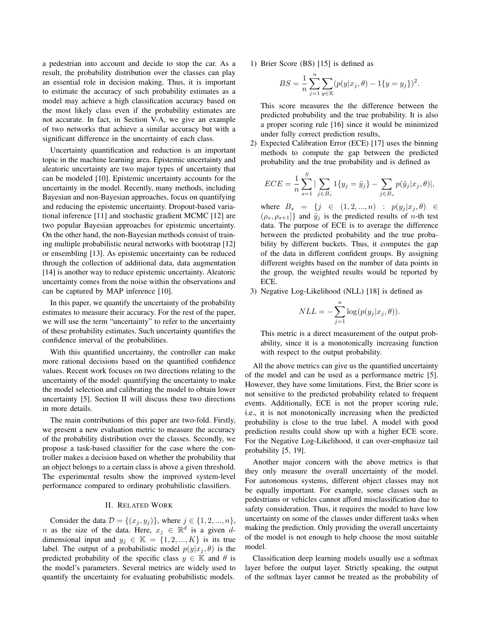a pedestrian into account and decide to stop the car. As a result, the probability distribution over the classes can play an essential role in decision making. Thus, it is important to estimate the accuracy of such probability estimates as a model may achieve a high classification accuracy based on the most likely class even if the probability estimates are not accurate. In fact, in Section [V-A,](#page-3-0) we give an example of two networks that achieve a similar accuracy but with a significant difference in the uncertainty of each class.

Uncertainty quantification and reduction is an important topic in the machine learning area. Epistemic uncertainty and aleatoric uncertainty are two major types of uncertainty that can be modeled [\[10\]](#page-6-8). Epistemic uncertainty accounts for the uncertainty in the model. Recently, many methods, including Bayesian and non-Bayesian approaches, focus on quantifying and reducing the epistemic uncertainty. Dropout-based variational inference [\[11\]](#page-6-9) and stochastic gradient MCMC [\[12\]](#page-6-10) are two popular Bayesian approaches for epistemic uncertainty. On the other hand, the non-Bayesian methods consist of training multiple probabilistic neural networks with bootstrap [\[12\]](#page-6-10) or ensembling [\[13\]](#page-6-11). As epistemic uncertainty can be reduced through the collection of additional data, data augmentation [\[14\]](#page-6-12) is another way to reduce epistemic uncertainty. Aleatoric uncertainty comes from the noise within the observations and can be captured by MAP inference [\[10\]](#page-6-8).

In this paper, we quantify the uncertainty of the probability estimates to measure their accuracy. For the rest of the paper, we will use the term "uncertainty" to refer to the uncertainty of these probability estimates. Such uncertainty quantifies the confidence interval of the probabilities.

With this quantified uncertainty, the controller can make more rational decisions based on the quantified confidence values. Recent work focuses on two directions relating to the uncertainty of the model: quantifying the uncertainty to make the model selection and calibrating the model to obtain lower uncertainty [\[5\]](#page-6-3). Section II will discuss these two directions in more details.

The main contributions of this paper are two-fold. Firstly, we present a new evaluation metric to measure the accuracy of the probability distribution over the classes. Secondly, we propose a task-based classifier for the case where the controller makes a decision based on whether the probability that an object belongs to a certain class is above a given threshold. The experimental results show the improved system-level performance compared to ordinary probabilistic classifiers.

# II. RELATED WORK

<span id="page-1-0"></span>Consider the data  $D = \{(x_j, y_j)\}\)$ , where  $j \in \{1, 2, ..., n\}\$ , n as the size of the data. Here,  $x_j \in \mathbb{R}^d$  is a given ddimensional input and  $y_j \in \mathbb{K} = \{1, 2, ..., K\}$  is its true label. The output of a probabilistic model  $p(y|x_i, \theta)$  is the predicted probability of the specific class  $y \in \mathbb{K}$  and  $\theta$  is the model's parameters. Several metrics are widely used to quantify the uncertainty for evaluating probabilistic models.

1) Brier Score (BS) [\[15\]](#page-6-13) is defined as

$$
BS = \frac{1}{n} \sum_{j=1}^{n} \sum_{y \in \mathbb{K}} (p(y|x_j, \theta) - 1\{y = y_j\})^2.
$$

This score measures the the difference between the predicted probability and the true probability. It is also a proper scoring rule [\[16\]](#page-6-14) since it would be minimized under fully correct prediction results,

2) Expected Calibration Error (ECE) [\[17\]](#page-6-15) uses the binning methods to compute the gap between the predicted probability and the true probability and is defined as

$$
ECE = \frac{1}{n} \sum_{s=1}^{S} |\sum_{j \in B_s} 1\{y_j = \tilde{y}_j\} - \sum_{j \in B_s} p(\tilde{y}_j | x_j, \theta)|,
$$

where  $B_s = \{j \in (1, 2, ..., n) : p(y_j | x_j, \theta) \in$  $(\rho_s, \rho_{s+1}]$ } and  $\tilde{y}_j$  is the predicted results of *n*-th test data. The purpose of ECE is to average the difference between the predicted probability and the true probability by different buckets. Thus, it computes the gap of the data in different confident groups. By assigning different weights based on the number of data points in the group, the weighted results would be reported by ECE.

3) Negative Log-Likelihood (NLL) [\[18\]](#page-6-16) is defined as

$$
NLL = -\sum_{j=1}^{n} \log(p(y_j|x_j, \theta)).
$$

This metric is a direct measurement of the output probability, since it is a monotonically increasing function with respect to the output probability.

All the above metrics can give us the quantified uncertainty of the model and can be used as a performance metric [\[5\]](#page-6-3). However, they have some limitations. First, the Brier score is not sensitive to the predicted probability related to frequent events. Additionally, ECE is not the proper scoring rule, i.e., it is not monotonically increasing when the predicted probability is close to the true label. A model with good prediction results could show up with a higher ECE score. For the Negative Log-Likelihood, it can over-emphasize tail probability [\[5,](#page-6-3) [19\]](#page-6-17).

Another major concern with the above metrics is that they only measure the overall uncertainty of the model. For autonomous systems, different object classes may not be equally important. For example, some classes such as pedestrians or vehicles cannot afford misclassification due to safety consideration. Thus, it requires the model to have low uncertainty on some of the classes under different tasks when making the prediction. Only providing the overall uncertainty of the model is not enough to help choose the most suitable model.

Classification deep learning models usually use a softmax layer before the output layer. Strictly speaking, the output of the softmax layer cannot be treated as the probability of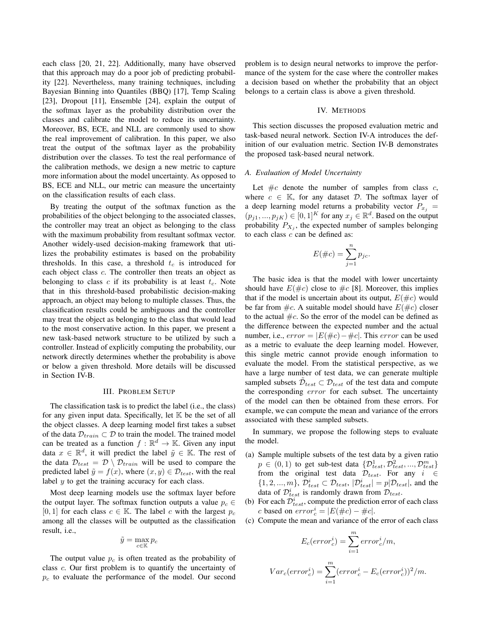each class [\[20,](#page-6-18) [21,](#page-6-19) [22\]](#page-6-20). Additionally, many have observed that this approach may do a poor job of predicting probability [\[22\]](#page-6-20). Nevertheless, many training techniques, including Bayesian Binning into Quantiles (BBQ) [\[17\]](#page-6-15), Temp Scaling [\[23\]](#page-6-21), Dropout [\[11\]](#page-6-9), Ensemble [\[24\]](#page-6-22), explain the output of the softmax layer as the probability distribution over the classes and calibrate the model to reduce its uncertainty. Moreover, BS, ECE, and NLL are commonly used to show the real improvement of calibration. In this paper, we also treat the output of the softmax layer as the probability distribution over the classes. To test the real performance of the calibration methods, we design a new metric to capture more information about the model uncertainty. As opposed to BS, ECE and NLL, our metric can measure the uncertainty on the classification results of each class.

By treating the output of the softmax function as the probabilities of the object belonging to the associated classes, the controller may treat an object as belonging to the class with the maximum probability from resultant softmax vector. Another widely-used decision-making framework that utilizes the probability estimates is based on the probability thresholds. In this case, a threshold  $t_c$  is introduced for each object class c. The controller then treats an object as belonging to class c if its probability is at least  $t_c$ . Note that in this threshold-based probabilistic decision-making approach, an object may belong to multiple classes. Thus, the classification results could be ambiguous and the controller may treat the object as belonging to the class that would lead to the most conservative action. In this paper, we present a new task-based network structure to be utilized by such a controller. Instead of explicitly computing the probability, our network directly determines whether the probability is above or below a given threshold. More details will be discussed in Section [IV-B.](#page-3-1)

# III. PROBLEM SETUP

The classification task is to predict the label (i.e., the class) for any given input data. Specifically, let  $K$  be the set of all the object classes. A deep learning model first takes a subset of the data  $\mathcal{D}_{train} \subset \mathcal{D}$  to train the model. The trained model can be treated as a function  $f : \mathbb{R}^d \to \mathbb{K}$ . Given any input data  $x \in \mathbb{R}^d$ , it will predict the label  $\tilde{y} \in \mathbb{K}$ . The rest of the data  $\mathcal{D}_{test} = \mathcal{D} \setminus \mathcal{D}_{train}$  will be used to compare the predicted label  $\tilde{y} = f(x)$ , where  $(x, y) \in \mathcal{D}_{test}$ , with the real label y to get the training accuracy for each class.

Most deep learning models use the softmax layer before the output layer. The softmax function outputs a value  $p_c \in$ [0, 1] for each class  $c \in \mathbb{K}$ . The label c with the largest  $p_c$ among all the classes will be outputted as the classification result, i.e.,

$$
\tilde{y} = \max_{c \in \mathbb{K}} p_c
$$

The output value  $p_c$  is often treated as the probability of class c. Our first problem is to quantify the uncertainty of  $p_c$  to evaluate the performance of the model. Our second problem is to design neural networks to improve the performance of the system for the case where the controller makes a decision based on whether the probability that an object belongs to a certain class is above a given threshold.

## IV. METHODS

This section discusses the proposed evaluation metric and task-based neural network. Section [IV-A](#page-2-0) introduces the definition of our evaluation metric. Section [IV-B](#page-3-1) demonstrates the proposed task-based neural network.

## <span id="page-2-0"></span>*A. Evaluation of Model Uncertainty*

Let  $\#c$  denote the number of samples from class c, where  $c \in \mathbb{K}$ , for any dataset  $\mathcal{D}$ . The softmax layer of a deep learning model returns a probability vector  $P_{x_i}$  =  $(p_{j1},..., p_{jK}) \in [0,1]^K$  for any  $x_j \in \mathbb{R}^d$ . Based on the output probability  $P_{X_j}$ , the expected number of samples belonging to each class  $c$  can be defined as:

$$
E(\#c) = \sum_{j=1}^{n} p_{jc}.
$$

The basic idea is that the model with lower uncertainty should have  $E(\text{#}c)$  close to  $\text{#}c$  [\[8\]](#page-6-6). Moreover, this implies that if the model is uncertain about its output,  $E(\text{\#}c)$  would be far from  $\#c$ . A suitable model should have  $E(\#c)$  closer to the actual  $\#c$ . So the error of the model can be defined as the difference between the expected number and the actual number, i.e.,  $error = |E(\text{#}c) - \text{#}c|$ . This  $error$  can be used as a metric to evaluate the deep learning model. However, this single metric cannot provide enough information to evaluate the model. From the statistical perspective, as we have a large number of test data, we can generate multiple sampled subsets  $\tilde{\mathcal{D}}_{test} \subset \mathcal{D}_{test}$  of the test data and compute the corresponding error for each subset. The uncertainty of the model can then be obtained from these errors. For example, we can compute the mean and variance of the errors associated with these sampled subsets.

In summary, we propose the following steps to evaluate the model.

- (a) Sample multiple subsets of the test data by a given ratio  $p \in (0,1)$  to get sub-test data  $\{\mathcal{D}_{test}^1, \mathcal{D}_{test}^2, ..., \mathcal{D}_{test}^m\}$ from the original test data  $\mathcal{D}_{test}$ . For any  $i \in$  $\{1, 2, ..., m\}$ ,  $\mathcal{D}_{test}^i \subset \mathcal{D}_{test}$ ,  $|\mathcal{D}_{test}^i| = p|\mathcal{D}_{test}|$ , and the data of  $\mathcal{D}_{test}^i$  is randomly drawn from  $\mathcal{D}_{test}$ .
- (b) For each  $\mathcal{D}_{test}^i$ , compute the prediction error of each class c based on  $error_c^i = |E(\#c) - \#c|$ .
- (c) Compute the mean and variance of the error of each class

 $Var$ 

$$
E_c(error_c^i) = \sum_{i=1}^{m} error_c^i/m,
$$
  

$$
E_c(error_c^i) = \sum_{i=1}^{m} (error_c^i - E_c(error_c^i))^2/m.
$$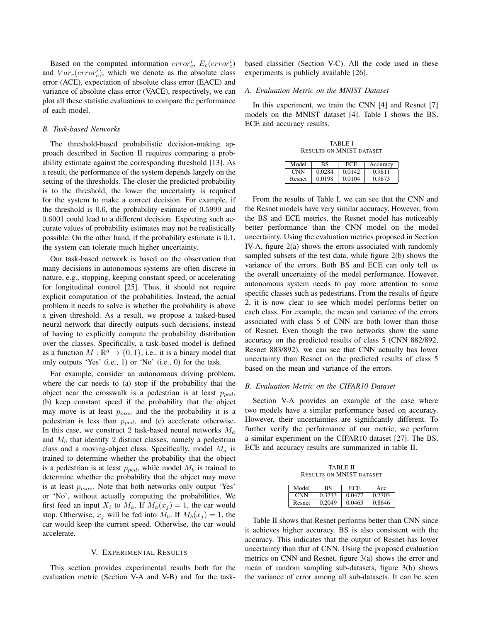Based on the computed information  $error_c^i$ ,  $E_c(error_c^i)$ and  $Var_c(error_c^i)$ , which we denote as the absolute class error (ACE), expectation of absolute class error (EACE) and variance of absolute class error (VACE), respectively, we can plot all these statistic evaluations to compare the performance of each model.

# <span id="page-3-1"></span>*B. Task-based Networks*

The threshold-based probabilistic decision-making approach described in Section [II](#page-1-0) requires comparing a probability estimate against the corresponding threshold [\[13\]](#page-6-11). As a result, the performance of the system depends largely on the setting of the thresholds. The closer the predicted probability is to the threshold, the lower the uncertainty is required for the system to make a correct decision. For example, if the threshold is 0.6, the probability estimate of 0.5999 and 0.6001 could lead to a different decision. Expecting such accurate values of probability estimates may not be realistically possible. On the other hand, if the probability estimate is 0.1, the system can tolerate much higher uncertainty.

Our task-based network is based on the observation that many decisions in autonomous systems are often discrete in nature, e.g., stopping, keeping constant speed, or accelerating for longitudinal control [\[25\]](#page-6-23). Thus, it should not require explicit computation of the probabilities. Instead, the actual problem it needs to solve is whether the probability is above a given threshold. As a result, we propose a tasked-based neural network that directly outputs such decisions, instead of having to explicitly compute the probability distribution over the classes. Specifically, a task-based model is defined as a function  $M : \mathbb{R}^d \to \{0, 1\}$ , i.e., it is a binary model that only outputs 'Yes' (i.e., 1) or 'No' (i.e., 0) for the task.

For example, consider an autonomous driving problem, where the car needs to (a) stop if the probability that the object near the crosswalk is a pedestrian is at least  $p_{ped}$ , (b) keep constant speed if the probability that the object may move is at least  $p_{mov}$  and the the probability it is a pedestrian is less than  $p_{ped}$ , and (c) accelerate otherwise. In this case, we construct 2 task-based neural networks  $M_a$ and  $M_b$  that identify 2 distinct classes, namely a pedestrian class and a moving-object class. Specifically, model  $M_a$  is trained to determine whether the probability that the object is a pedestrian is at least  $p_{ped}$ , while model  $M_b$  is trained to determine whether the probability that the object may move is at least  $p_{mov}$ . Note that both networks only output 'Yes' or 'No', without actually computing the probabilities. We first feed an input  $X_i$  to  $M_a$ . If  $M_a(x_j) = 1$ , the car would stop. Otherwise,  $x_i$  will be fed into  $M_b$ . If  $M_b(x_i) = 1$ , the car would keep the current speed. Otherwise, the car would accelerate.

#### V. EXPERIMENTAL RESULTS

This section provides experimental results both for the evaluation metric (Section [V-A](#page-3-0) and [V-B\)](#page-3-2) and for the taskbased classifier (Section [V-C\)](#page-4-0). All the code used in these experiments is publicly available [\[26\]](#page-6-24).

#### <span id="page-3-0"></span>*A. Evaluation Metric on the MNIST Dataset*

In this experiment, we train the CNN [\[4\]](#page-6-2) and Resnet [\[7\]](#page-6-5) models on the MNIST dataset [\[4\]](#page-6-2). Table [I](#page-3-3) shows the BS, ECE and accuracy results.

TABLE I RESULTS ON MNIST DATASET

<span id="page-3-3"></span>

| Model  | вs     | ECE    | Accuracv |
|--------|--------|--------|----------|
| CNN)   | 0.0284 | 0.0142 | 0.9811   |
| Resnet | 0.0198 | 0.0104 | 0.9873   |

From the results of Table [I,](#page-3-3) we can see that the CNN and the Resnet models have very similar accuracy. However, from the BS and ECE metrics, the Resnet model has noticeably better performance than the CNN model on the model uncertainty. Using the evaluation metrics proposed in Section [IV-A,](#page-2-0) figure [2\(a\)](#page-4-1) shows the errors associated with randomly sampled subsets of the test data, while figure [2\(b\)](#page-4-2) shows the variance of the errors. Both BS and ECE can only tell us the overall uncertainty of the model performance. However, autonomous system needs to pay more attention to some specific classes such as pedestrians. From the results of figure [2,](#page-4-3) it is now clear to see which model performs better on each class. For example, the mean and variance of the errors associated with class 5 of CNN are both lower than those of Resnet. Even though the two networks show the same accuracy on the predicted results of class 5 (CNN 882/892, Resnet 883/892), we can see that CNN actually has lower uncertainty than Resnet on the predicted results of class 5 based on the mean and variance of the errors.

## <span id="page-3-2"></span>*B. Evaluation Metric on the CIFAR10 Dataset*

Section [V-A](#page-3-0) provides an example of the case where two models have a similar performance based on accuracy. However, their uncertainties are significantly different. To further verify the performance of our metric, we perform a similar experiment on the CIFAR10 dataset [\[27\]](#page-6-25). The BS, ECE and accuracy results are summarized in table [II.](#page-3-4)

TABLE II RESULTS ON MNIST DATASET

<span id="page-3-4"></span>

| Model              | вs     | ECE.   | Acc    |
|--------------------|--------|--------|--------|
| $\sqrt{\text{NN}}$ | 0.3733 | 0.0477 | 0.7703 |
| Resnet             | 0.2049 | 0.0463 | 0.8646 |

Table [II](#page-3-4) shows that Resnet performs better than CNN since it achieves higher accuracy. BS is also consistent with the accuracy. This indicates that the output of Resnet has lower uncertainty than that of CNN. Using the proposed evaluation metrics on CNN and Resnet, figure [3\(a\)](#page-4-4) shows the error and mean of random sampling sub-datasets, figure [3\(b\)](#page-4-5) shows the variance of error among all sub-datasets. It can be seen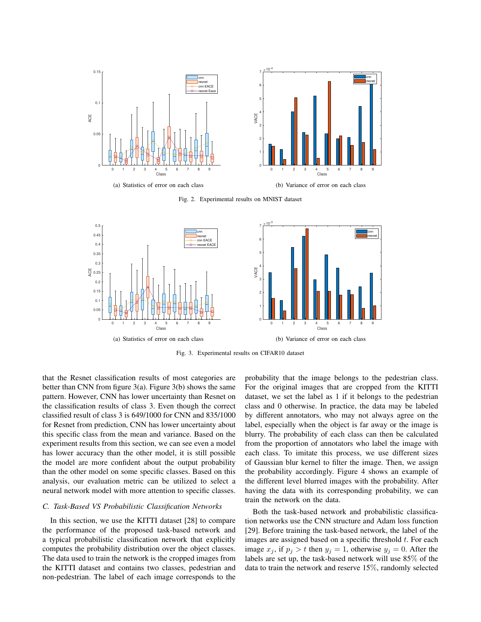<span id="page-4-1"></span>

<span id="page-4-3"></span><span id="page-4-2"></span>Fig. 2. Experimental results on MNIST dataset

<span id="page-4-4"></span>

Fig. 3. Experimental results on CIFAR10 dataset

that the Resnet classification results of most categories are better than CNN from figure [3\(a\).](#page-4-4) Figure [3\(b\)](#page-4-5) shows the same pattern. However, CNN has lower uncertainty than Resnet on the classification results of class 3. Even though the correct classified result of class 3 is 649/1000 for CNN and 835/1000 for Resnet from prediction, CNN has lower uncertainty about this specific class from the mean and variance. Based on the experiment results from this section, we can see even a model has lower accuracy than the other model, it is still possible the model are more confident about the output probability than the other model on some specific classes. Based on this analysis, our evaluation metric can be utilized to select a neural network model with more attention to specific classes.

# <span id="page-4-0"></span>*C. Task-Based VS Probabilistic Classification Networks*

In this section, we use the KITTI dataset [\[28\]](#page-6-26) to compare the performance of the proposed task-based network and a typical probabilistic classification network that explicitly computes the probability distribution over the object classes. The data used to train the network is the cropped images from the KITTI dataset and contains two classes, pedestrian and non-pedestrian. The label of each image corresponds to the <span id="page-4-5"></span>probability that the image belongs to the pedestrian class. For the original images that are cropped from the KITTI dataset, we set the label as 1 if it belongs to the pedestrian class and 0 otherwise. In practice, the data may be labeled by different annotators, who may not always agree on the label, especially when the object is far away or the image is blurry. The probability of each class can then be calculated from the proportion of annotators who label the image with each class. To imitate this process, we use different sizes of Gaussian blur kernel to filter the image. Then, we assign the probability accordingly. Figure [4](#page-5-1) shows an example of the different level blurred images with the probability. After having the data with its corresponding probability, we can train the network on the data.

Both the task-based network and probabilistic classification networks use the CNN structure and Adam loss function [\[29\]](#page-6-27). Before training the task-based network, the label of the images are assigned based on a specific threshold  $t$ . For each image  $x_j$ , if  $p_j > t$  then  $y_j = 1$ , otherwise  $y_j = 0$ . After the labels are set up, the task-based network will use 85% of the data to train the network and reserve 15%, randomly selected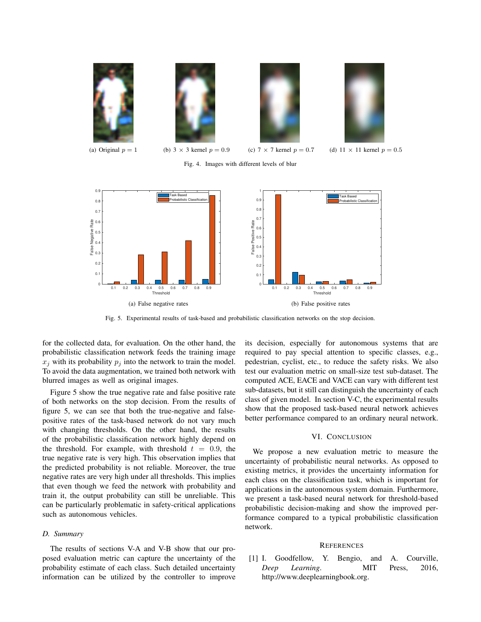

Fig. 4. Images with different levels of blur

<span id="page-5-1"></span>

<span id="page-5-2"></span>Fig. 5. Experimental results of task-based and probabilistic classification networks on the stop decision.

for the collected data, for evaluation. On the other hand, the probabilistic classification network feeds the training image  $x_i$  with its probability  $p_i$  into the network to train the model. To avoid the data augmentation, we trained both network with blurred images as well as original images.

Figure [5](#page-5-2) show the true negative rate and false positive rate of both networks on the stop decision. From the results of figure [5,](#page-5-2) we can see that both the true-negative and falsepositive rates of the task-based network do not vary much with changing thresholds. On the other hand, the results of the probabilistic classification network highly depend on the threshold. For example, with threshold  $t = 0.9$ , the true negative rate is very high. This observation implies that the predicted probability is not reliable. Moreover, the true negative rates are very high under all thresholds. This implies that even though we feed the network with probability and train it, the output probability can still be unreliable. This can be particularly problematic in safety-critical applications such as autonomous vehicles.

#### *D. Summary*

The results of sections [V-A](#page-3-0) and [V-B](#page-3-2) show that our proposed evaluation metric can capture the uncertainty of the probability estimate of each class. Such detailed uncertainty information can be utilized by the controller to improve its decision, especially for autonomous systems that are required to pay special attention to specific classes, e.g., pedestrian, cyclist, etc., to reduce the safety risks. We also test our evaluation metric on small-size test sub-dataset. The computed ACE, EACE and VACE can vary with different test sub-datasets, but it still can distinguish the uncertainty of each class of given model. In section [V-C,](#page-4-0) the experimental results show that the proposed task-based neural network achieves better performance compared to an ordinary neural network.

## VI. CONCLUSION

We propose a new evaluation metric to measure the uncertainty of probabilistic neural networks. As opposed to existing metrics, it provides the uncertainty information for each class on the classification task, which is important for applications in the autonomous system domain. Furthermore, we present a task-based neural network for threshold-based probabilistic decision-making and show the improved performance compared to a typical probabilistic classification network.

# **REFERENCES**

<span id="page-5-0"></span>[1] I. Goodfellow, Y. Bengio, and A. Courville, *Deep Learning*. MIT Press, 2016, [http://www.deeplearningbook.org.](http://www.deeplearningbook.org)